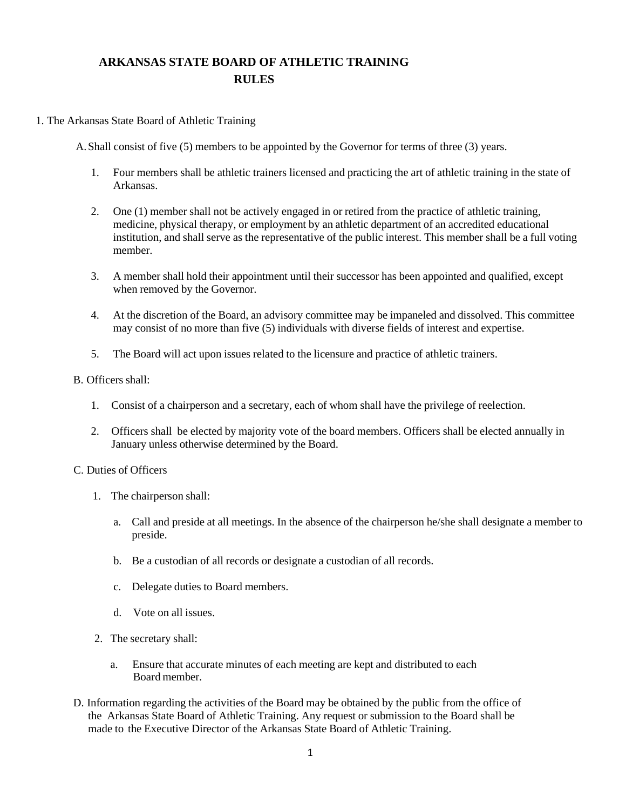# **ARKANSAS STATE BOARD OF ATHLETIC TRAINING RULES**

# 1. The Arkansas State Board of Athletic Training

A.Shall consist of five (5) members to be appointed by the Governor for terms of three (3) years.

- 1. Four members shall be athletic trainers licensed and practicing the art of athletic training in the state of Arkansas.
- 2. One (1) member shall not be actively engaged in or retired from the practice of athletic training, medicine, physical therapy, or employment by an athletic department of an accredited educational institution, and shall serve as the representative of the public interest. This member shall be a full voting member.
- 3. A member shall hold their appointment until their successor has been appointed and qualified, except when removed by the Governor.
- 4. At the discretion of the Board, an advisory committee may be impaneled and dissolved. This committee may consist of no more than five (5) individuals with diverse fields of interest and expertise.
- 5. The Board will act upon issues related to the licensure and practice of athletic trainers.

## B. Officers shall:

- 1. Consist of a chairperson and a secretary, each of whom shall have the privilege of reelection.
- 2. Officers shall be elected by majority vote of the board members. Officers shall be elected annually in January unless otherwise determined by the Board.

# C. Duties of Officers

- 1. The chairperson shall:
	- a. Call and preside at all meetings. In the absence of the chairperson he/she shall designate a member to preside.
	- b. Be a custodian of all records or designate a custodian of all records.
	- c. Delegate duties to Board members.
	- d. Vote on all issues.
- 2. The secretary shall:
	- a. Ensure that accurate minutes of each meeting are kept and distributed to each Board member.
- D. Information regarding the activities of the Board may be obtained by the public from the office of the Arkansas State Board of Athletic Training. Any request or submission to the Board shall be made to the Executive Director of the Arkansas State Board of Athletic Training.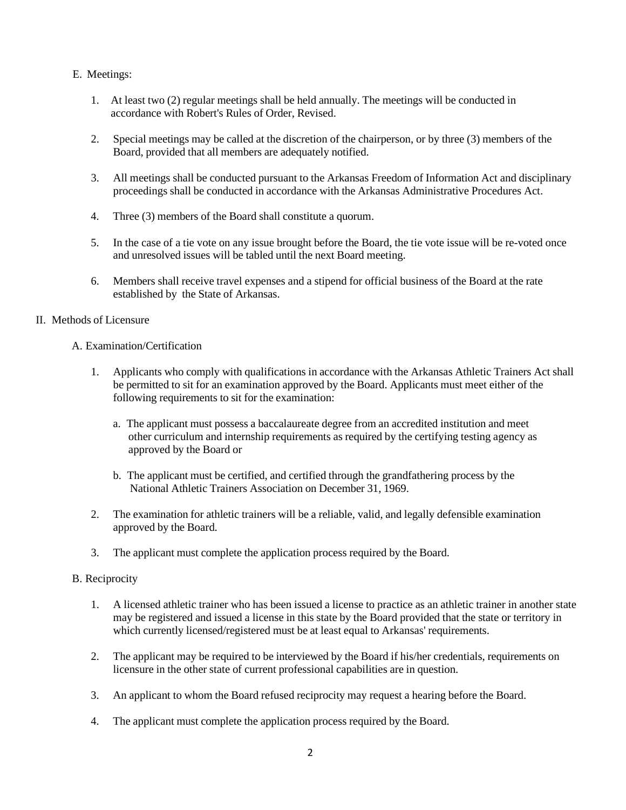- E. Meetings:
	- 1. At least two (2) regular meetings shall be held annually. The meetings will be conducted in accordance with Robert's Rules of Order, Revised.
	- 2. Special meetings may be called at the discretion of the chairperson, or by three (3) members of the Board, provided that all members are adequately notified.
	- 3. All meetings shall be conducted pursuant to the Arkansas Freedom of Information Act and disciplinary proceedings shall be conducted in accordance with the Arkansas Administrative Procedures Act.
	- 4. Three (3) members of the Board shall constitute a quorum.
	- 5. In the case of a tie vote on any issue brought before the Board, the tie vote issue will be re-voted once and unresolved issues will be tabled until the next Board meeting.
	- 6. Members shall receive travel expenses and a stipend for official business of the Board at the rate established by the State of Arkansas.

# II. Methods of Licensure

# A. Examination/Certification

- 1. Applicants who comply with qualifications in accordance with the Arkansas Athletic Trainers Act shall be permitted to sit for an examination approved by the Board. Applicants must meet either of the following requirements to sit for the examination:
	- a. The applicant must possess a baccalaureate degree from an accredited institution and meet other curriculum and internship requirements as required by the certifying testing agency as approved by the Board or
	- b. The applicant must be certified, and certified through the grandfathering process by the National Athletic Trainers Association on December 31, 1969.
- 2. The examination for athletic trainers will be a reliable, valid, and legally defensible examination approved by the Board.
- 3. The applicant must complete the application process required by the Board.

# B. Reciprocity

- 1. A licensed athletic trainer who has been issued a license to practice as an athletic trainer in another state may be registered and issued a license in this state by the Board provided that the state or territory in which currently licensed/registered must be at least equal to Arkansas' requirements.
- 2. The applicant may be required to be interviewed by the Board if his/her credentials, requirements on licensure in the other state of current professional capabilities are in question.
- 3. An applicant to whom the Board refused reciprocity may request a hearing before the Board.
- 4. The applicant must complete the application process required by the Board.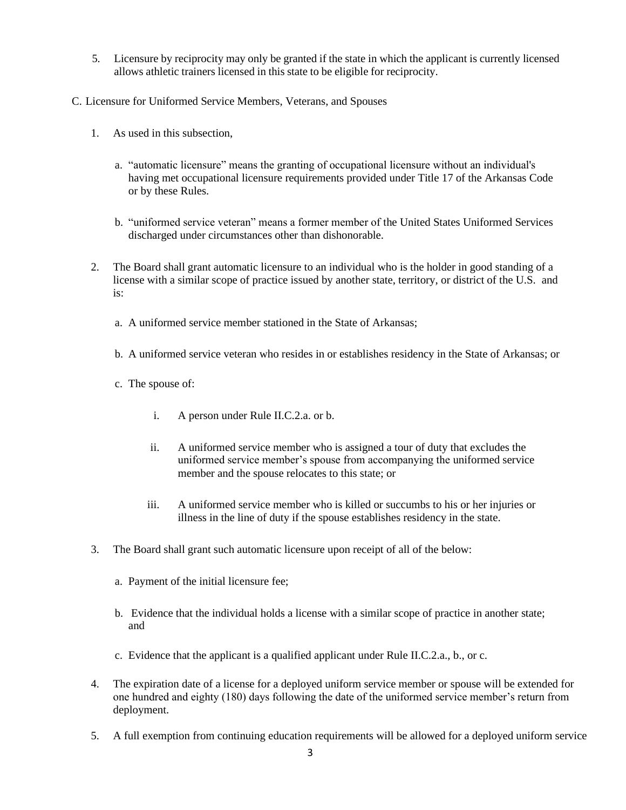- 5. Licensure by reciprocity may only be granted if the state in which the applicant is currently licensed allows athletic trainers licensed in this state to be eligible for reciprocity.
- C. Licensure for Uniformed Service Members, Veterans, and Spouses
	- 1. As used in this subsection,
		- a. "automatic licensure" means the granting of occupational licensure without an individual's having met occupational licensure requirements provided under Title 17 of the Arkansas Code or by these Rules.
		- b. "uniformed service veteran" means a former member of the United States Uniformed Services discharged under circumstances other than dishonorable.
	- 2. The Board shall grant automatic licensure to an individual who is the holder in good standing of a license with a similar scope of practice issued by another state, territory, or district of the U.S. and is:
		- a. A uniformed service member stationed in the State of Arkansas;
		- b. A uniformed service veteran who resides in or establishes residency in the State of Arkansas; or
		- c. The spouse of:
			- i. A person under Rule II.C.2.a. or b.
			- ii. A uniformed service member who is assigned a tour of duty that excludes the uniformed service member's spouse from accompanying the uniformed service member and the spouse relocates to this state; or
			- iii. A uniformed service member who is killed or succumbs to his or her injuries or illness in the line of duty if the spouse establishes residency in the state.
	- 3. The Board shall grant such automatic licensure upon receipt of all of the below:
		- a. Payment of the initial licensure fee;
		- b. Evidence that the individual holds a license with a similar scope of practice in another state; and
		- c. Evidence that the applicant is a qualified applicant under Rule II.C.2.a., b., or c.
	- 4. The expiration date of a license for a deployed uniform service member or spouse will be extended for one hundred and eighty (180) days following the date of the uniformed service member's return from deployment.
	- 5. A full exemption from continuing education requirements will be allowed for a deployed uniform service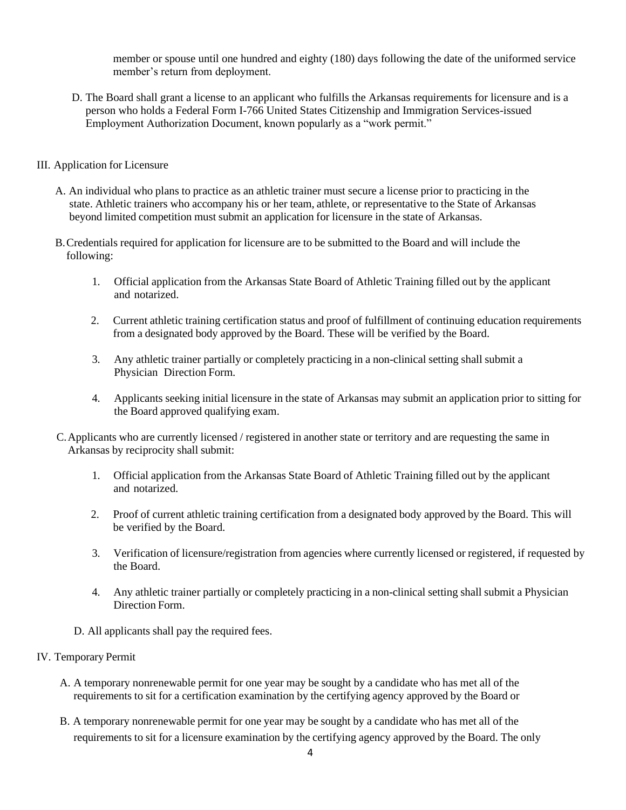member or spouse until one hundred and eighty (180) days following the date of the uniformed service member's return from deployment.

D. The Board shall grant a license to an applicant who fulfills the Arkansas requirements for licensure and is a person who holds a Federal Form I-766 United States Citizenship and Immigration Services-issued Employment Authorization Document, known popularly as a "work permit."

## III. Application for Licensure

- A. An individual who plans to practice as an athletic trainer must secure a license prior to practicing in the state. Athletic trainers who accompany his or her team, athlete, or representative to the State of Arkansas beyond limited competition must submit an application for licensure in the state of Arkansas.
- B.Credentials required for application for licensure are to be submitted to the Board and will include the following:
	- 1. Official application from the Arkansas State Board of Athletic Training filled out by the applicant and notarized.
	- 2. Current athletic training certification status and proof of fulfillment of continuing education requirements from a designated body approved by the Board. These will be verified by the Board.
	- 3. Any athletic trainer partially or completely practicing in a non-clinical setting shall submit a Physician Direction Form.
	- 4. Applicants seeking initial licensure in the state of Arkansas may submit an application prior to sitting for the Board approved qualifying exam.
- C.Applicants who are currently licensed / registered in another state or territory and are requesting the same in Arkansas by reciprocity shall submit:
	- 1. Official application from the Arkansas State Board of Athletic Training filled out by the applicant and notarized.
	- 2. Proof of current athletic training certification from a designated body approved by the Board. This will be verified by the Board.
	- 3. Verification of licensure/registration from agencies where currently licensed or registered, if requested by the Board.
	- 4. Any athletic trainer partially or completely practicing in a non-clinical setting shall submit a Physician Direction Form.
	- D. All applicants shall pay the required fees.

#### IV. Temporary Permit

- A. A temporary nonrenewable permit for one year may be sought by a candidate who has met all of the requirements to sit for a certification examination by the certifying agency approved by the Board or
- B. A temporary nonrenewable permit for one year may be sought by a candidate who has met all of the requirements to sit for a licensure examination by the certifying agency approved by the Board. The only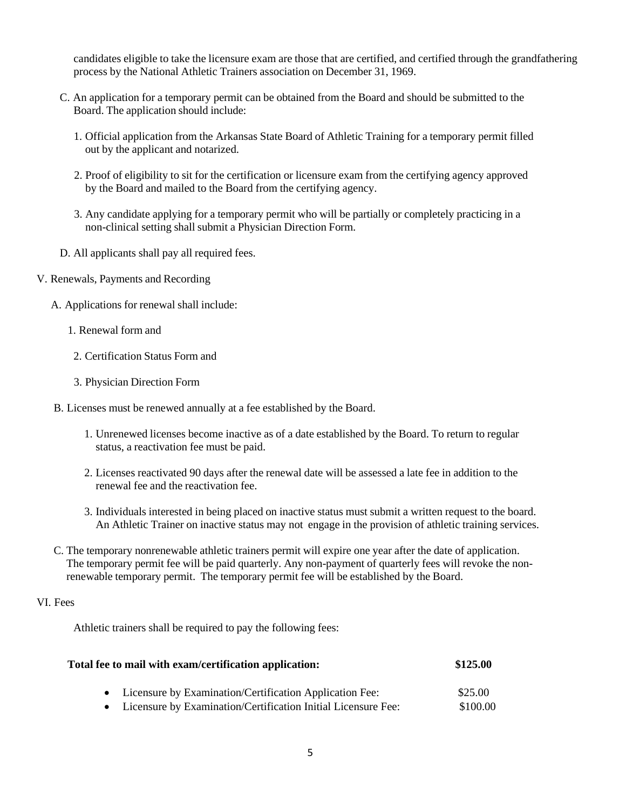candidates eligible to take the licensure exam are those that are certified, and certified through the grandfathering process by the National Athletic Trainers association on December 31, 1969.

- C. An application for a temporary permit can be obtained from the Board and should be submitted to the Board. The application should include:
	- 1. Official application from the Arkansas State Board of Athletic Training for a temporary permit filled out by the applicant and notarized.
	- 2. Proof of eligibility to sit for the certification or licensure exam from the certifying agency approved by the Board and mailed to the Board from the certifying agency.
	- 3. Any candidate applying for a temporary permit who will be partially or completely practicing in a non-clinical setting shall submit a Physician Direction Form.
- D. All applicants shall pay all required fees.
- V. Renewals, Payments and Recording
	- A. Applications for renewal shall include:
		- 1. Renewal form and
		- 2. Certification Status Form and
		- 3. Physician Direction Form
	- B. Licenses must be renewed annually at a fee established by the Board.
		- 1. Unrenewed licenses become inactive as of a date established by the Board. To return to regular status, a reactivation fee must be paid.
		- 2. Licenses reactivated 90 days after the renewal date will be assessed a late fee in addition to the renewal fee and the reactivation fee.
		- 3. Individuals interested in being placed on inactive status must submit a written request to the board. An Athletic Trainer on inactive status may not engage in the provision of athletic training services.
	- C. The temporary nonrenewable athletic trainers permit will expire one year after the date of application. The temporary permit fee will be paid quarterly. Any non-payment of quarterly fees will revoke the nonrenewable temporary permit. The temporary permit fee will be established by the Board.

# VI. Fees

Athletic trainers shall be required to pay the following fees:

| Total fee to mail with exam/certification application:          | \$125.00 |
|-----------------------------------------------------------------|----------|
| • Licensure by Examination/Certification Application Fee:       | \$25.00  |
| • Licensure by Examination/Certification Initial Licensure Fee: | \$100.00 |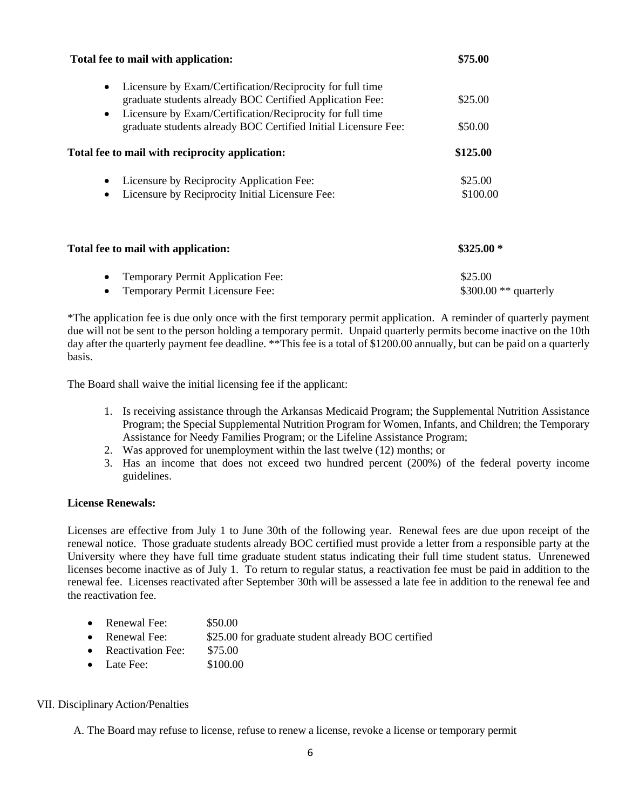| Total fee to mail with application:                                                                                                | \$75.00               |
|------------------------------------------------------------------------------------------------------------------------------------|-----------------------|
| Licensure by Exam/Certification/Reciprocity for full time<br>$\bullet$<br>graduate students already BOC Certified Application Fee: | \$25.00               |
| Licensure by Exam/Certification/Reciprocity for full time<br>$\bullet$                                                             |                       |
| graduate students already BOC Certified Initial Licensure Fee:                                                                     | \$50.00               |
| Total fee to mail with reciprocity application:                                                                                    | \$125.00              |
| Licensure by Reciprocity Application Fee:                                                                                          | \$25.00               |
| Licensure by Reciprocity Initial Licensure Fee:<br>$\bullet$                                                                       | \$100.00              |
| Total fee to mail with application:                                                                                                | $$325.00*$            |
| Temporary Permit Application Fee:<br>$\bullet$                                                                                     | \$25.00               |
| Temporary Permit Licensure Fee:                                                                                                    | \$300.00 ** quarterly |

\*The application fee is due only once with the first temporary permit application. A reminder of quarterly payment due will not be sent to the person holding a temporary permit. Unpaid quarterly permits become inactive on the 10th day after the quarterly payment fee deadline. \*\*This fee is a total of \$1200.00 annually, but can be paid on a quarterly basis.

The Board shall waive the initial licensing fee if the applicant:

- 1. Is receiving assistance through the Arkansas Medicaid Program; the Supplemental Nutrition Assistance Program; the Special Supplemental Nutrition Program for Women, Infants, and Children; the Temporary Assistance for Needy Families Program; or the Lifeline Assistance Program;
- 2. Was approved for unemployment within the last twelve (12) months; or
- 3. Has an income that does not exceed two hundred percent (200%) of the federal poverty income guidelines.

## **License Renewals:**

Licenses are effective from July 1 to June 30th of the following year. Renewal fees are due upon receipt of the renewal notice. Those graduate students already BOC certified must provide a letter from a responsible party at the University where they have full time graduate student status indicating their full time student status. Unrenewed licenses become inactive as of July 1. To return to regular status, a reactivation fee must be paid in addition to the renewal fee. Licenses reactivated after September 30th will be assessed a late fee in addition to the renewal fee and the reactivation fee.

- Renewal Fee: \$50.00
- Renewal Fee:  $$25.00$  for graduate student already BOC certified
- Reactivation Fee: \$75.00
- Late Fee: \$100.00

#### VII. Disciplinary Action/Penalties

A. The Board may refuse to license, refuse to renew a license, revoke a license or temporary permit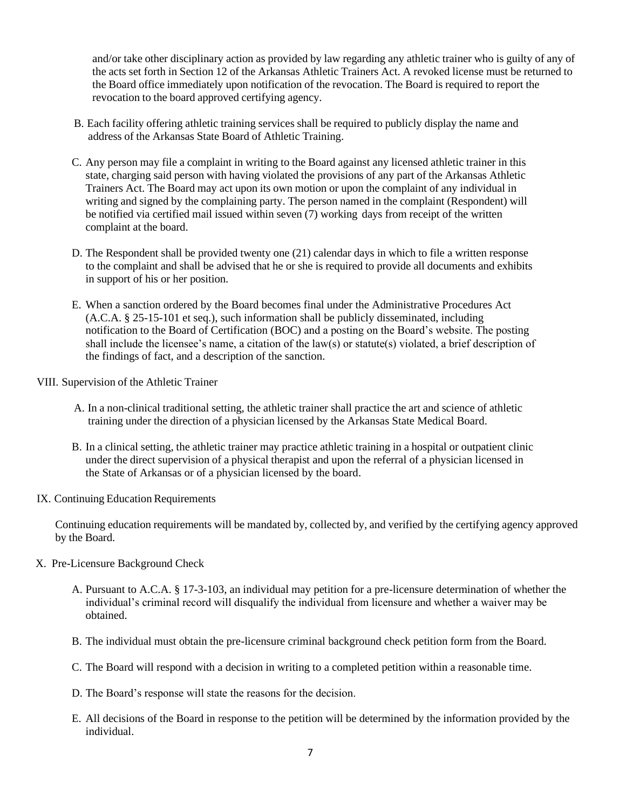and/or take other disciplinary action as provided by law regarding any athletic trainer who is guilty of any of the acts set forth in Section 12 of the Arkansas Athletic Trainers Act. A revoked license must be returned to the Board office immediately upon notification of the revocation. The Board is required to report the revocation to the board approved certifying agency.

- B. Each facility offering athletic training services shall be required to publicly display the name and address of the Arkansas State Board of Athletic Training.
- C. Any person may file a complaint in writing to the Board against any licensed athletic trainer in this state, charging said person with having violated the provisions of any part of the Arkansas Athletic Trainers Act. The Board may act upon its own motion or upon the complaint of any individual in writing and signed by the complaining party. The person named in the complaint (Respondent) will be notified via certified mail issued within seven (7) working days from receipt of the written complaint at the board.
- D. The Respondent shall be provided twenty one (21) calendar days in which to file a written response to the complaint and shall be advised that he or she is required to provide all documents and exhibits in support of his or her position.
- E. When a sanction ordered by the Board becomes final under the Administrative Procedures Act (A.C.A. § 25-15-101 et seq.), such information shall be publicly disseminated, including notification to the Board of Certification (BOC) and a posting on the Board's website. The posting shall include the licensee's name, a citation of the law(s) or statute(s) violated, a brief description of the findings of fact, and a description of the sanction.

VIII. Supervision of the Athletic Trainer

- A. In a non-clinical traditional setting, the athletic trainer shall practice the art and science of athletic training under the direction of a physician licensed by the Arkansas State Medical Board.
- B. In a clinical setting, the athletic trainer may practice athletic training in a hospital or outpatient clinic under the direct supervision of a physical therapist and upon the referral of a physician licensed in the State of Arkansas or of a physician licensed by the board.
- IX. Continuing Education Requirements

Continuing education requirements will be mandated by, collected by, and verified by the certifying agency approved by the Board.

- X. Pre-Licensure Background Check
	- A. Pursuant to A.C.A. § 17-3-103, an individual may petition for a pre-licensure determination of whether the individual's criminal record will disqualify the individual from licensure and whether a waiver may be obtained.
	- B. The individual must obtain the pre-licensure criminal background check petition form from the Board.
	- C. The Board will respond with a decision in writing to a completed petition within a reasonable time.
	- D. The Board's response will state the reasons for the decision.
	- E. All decisions of the Board in response to the petition will be determined by the information provided by the individual.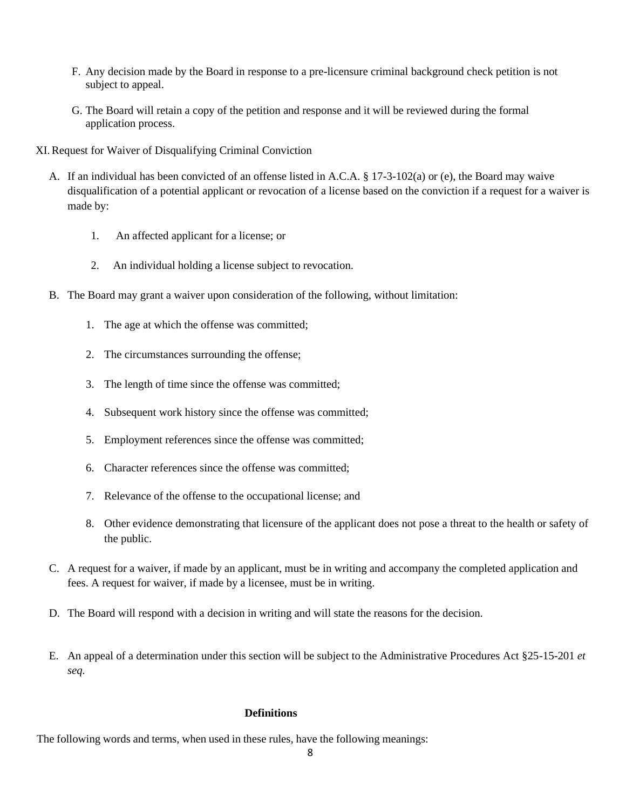- F. Any decision made by the Board in response to a pre-licensure criminal background check petition is not subject to appeal.
- G. The Board will retain a copy of the petition and response and it will be reviewed during the formal application process.
- XI.Request for Waiver of Disqualifying Criminal Conviction
	- A. If an individual has been convicted of an offense listed in A.C.A. § 17-3-102(a) or (e), the Board may waive disqualification of a potential applicant or revocation of a license based on the conviction if a request for a waiver is made by:
		- 1. An affected applicant for a license; or
		- 2. An individual holding a license subject to revocation.
	- B. The Board may grant a waiver upon consideration of the following, without limitation:
		- 1. The age at which the offense was committed;
		- 2. The circumstances surrounding the offense;
		- 3. The length of time since the offense was committed;
		- 4. Subsequent work history since the offense was committed;
		- 5. Employment references since the offense was committed;
		- 6. Character references since the offense was committed;
		- 7. Relevance of the offense to the occupational license; and
		- 8. Other evidence demonstrating that licensure of the applicant does not pose a threat to the health or safety of the public.
	- C. A request for a waiver, if made by an applicant, must be in writing and accompany the completed application and fees. A request for waiver, if made by a licensee, must be in writing.
	- D. The Board will respond with a decision in writing and will state the reasons for the decision.
	- E. An appeal of a determination under this section will be subject to the Administrative Procedures Act §25-15-201 *et seq.*

#### **Definitions**

The following words and terms, when used in these rules, have the following meanings: